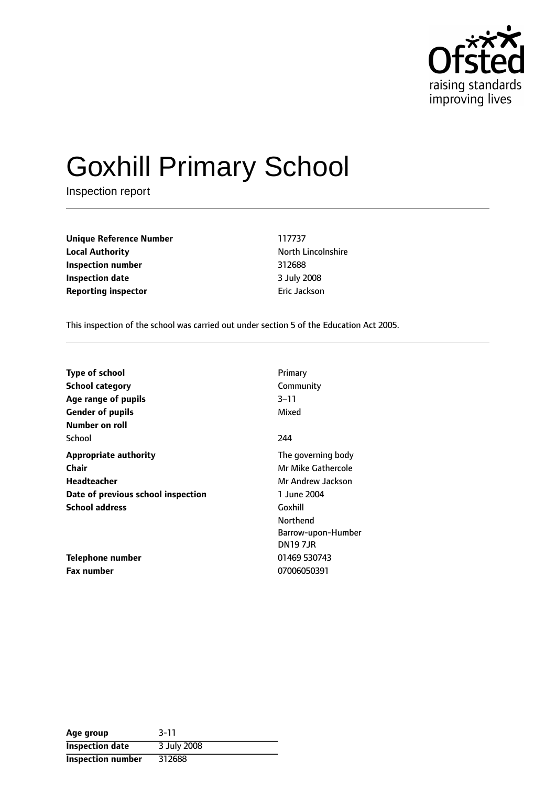

# Goxhill Primary School

Inspection report

**Unique Reference Number** 117737 **Local Authority North Lincolnshire Inspection number** 312688 **Inspection date** 3 July 2008 **Reporting inspector Example 20 and Separate Inc.** Eric Jackson

This inspection of the school was carried out under section 5 of the Education Act 2005.

| <b>Type of school</b>              | Primary            |
|------------------------------------|--------------------|
| School category                    | Community          |
| Age range of pupils                | 3-11               |
| <b>Gender of pupils</b>            | Mixed              |
| Number on roll                     |                    |
| School                             | 244                |
| <b>Appropriate authority</b>       | The governing body |
| Chair                              | Mr Mike Gathercole |
| <b>Headteacher</b>                 | Mr Andrew Jackson  |
| Date of previous school inspection | 1 June 2004        |
| <b>School address</b>              | Goxhill            |
|                                    | Northend           |
|                                    | Barrow-upon-Humber |
|                                    | <b>DN197JR</b>     |
| Telephone number                   | 01469 530743       |
| <b>Fax number</b>                  | 07006050391        |

| Age group                | $3 - 11$    |
|--------------------------|-------------|
| <b>Inspection date</b>   | 3 July 2008 |
| <b>Inspection number</b> | 312688      |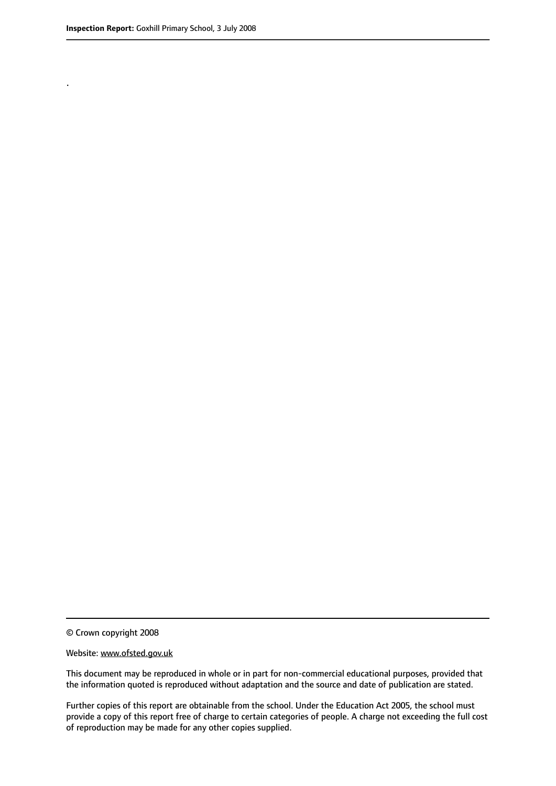.

© Crown copyright 2008

#### Website: www.ofsted.gov.uk

This document may be reproduced in whole or in part for non-commercial educational purposes, provided that the information quoted is reproduced without adaptation and the source and date of publication are stated.

Further copies of this report are obtainable from the school. Under the Education Act 2005, the school must provide a copy of this report free of charge to certain categories of people. A charge not exceeding the full cost of reproduction may be made for any other copies supplied.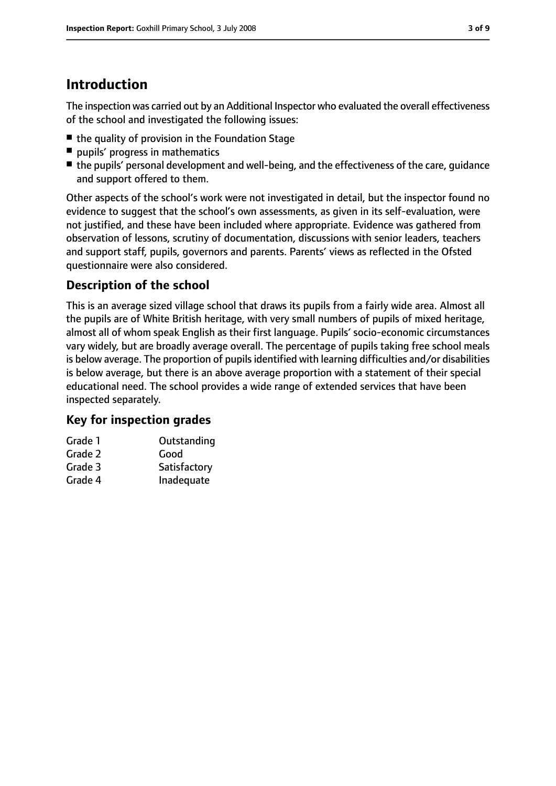# **Introduction**

The inspection was carried out by an Additional Inspector who evaluated the overall effectiveness of the school and investigated the following issues:

- the quality of provision in the Foundation Stage
- pupils' progress in mathematics
- the pupils' personal development and well-being, and the effectiveness of the care, quidance and support offered to them.

Other aspects of the school's work were not investigated in detail, but the inspector found no evidence to suggest that the school's own assessments, as given in its self-evaluation, were not justified, and these have been included where appropriate. Evidence was gathered from observation of lessons, scrutiny of documentation, discussions with senior leaders, teachers and support staff, pupils, governors and parents. Parents' views as reflected in the Ofsted questionnaire were also considered.

# **Description of the school**

This is an average sized village school that draws its pupils from a fairly wide area. Almost all the pupils are of White British heritage, with very small numbers of pupils of mixed heritage, almost all of whom speak English as their first language. Pupils' socio-economic circumstances vary widely, but are broadly average overall. The percentage of pupils taking free school meals is below average. The proportion of pupils identified with learning difficulties and/or disabilities is below average, but there is an above average proportion with a statement of their special educational need. The school provides a wide range of extended services that have been inspected separately.

# **Key for inspection grades**

| Grade 1 | Outstanding  |
|---------|--------------|
| Grade 2 | Good         |
| Grade 3 | Satisfactory |
| Grade 4 | Inadequate   |
|         |              |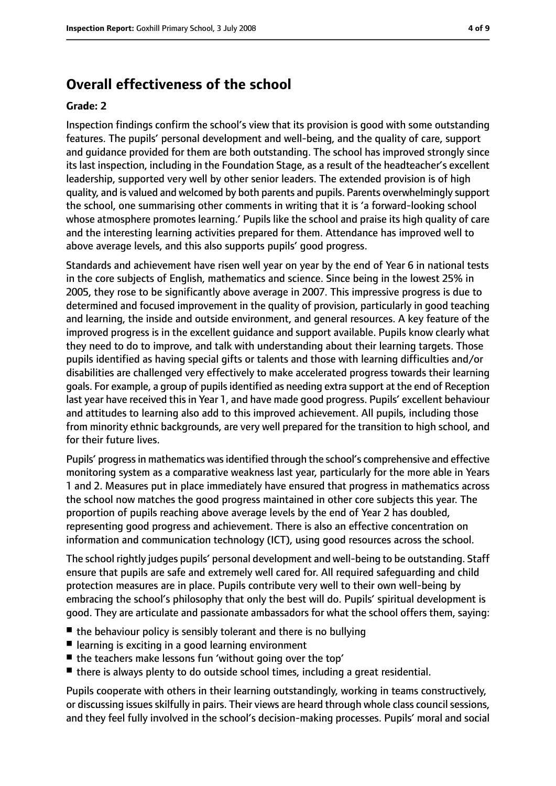# **Overall effectiveness of the school**

#### **Grade: 2**

Inspection findings confirm the school's view that its provision is good with some outstanding features. The pupils' personal development and well-being, and the quality of care, support and guidance provided for them are both outstanding. The school has improved strongly since its last inspection, including in the Foundation Stage, as a result of the headteacher's excellent leadership, supported very well by other senior leaders. The extended provision is of high quality, and is valued and welcomed by both parents and pupils. Parents overwhelmingly support the school, one summarising other comments in writing that it is 'a forward-looking school whose atmosphere promotes learning.' Pupils like the school and praise its high quality of care and the interesting learning activities prepared for them. Attendance has improved well to above average levels, and this also supports pupils' good progress.

Standards and achievement have risen well year on year by the end of Year 6 in national tests in the core subjects of English, mathematics and science. Since being in the lowest 25% in 2005, they rose to be significantly above average in 2007. This impressive progress is due to determined and focused improvement in the quality of provision, particularly in good teaching and learning, the inside and outside environment, and general resources. A key feature of the improved progress is in the excellent guidance and support available. Pupils know clearly what they need to do to improve, and talk with understanding about their learning targets. Those pupils identified as having special gifts or talents and those with learning difficulties and/or disabilities are challenged very effectively to make accelerated progress towards their learning goals. For example, a group of pupilsidentified as needing extra support at the end of Reception last year have received this in Year 1, and have made good progress. Pupils' excellent behaviour and attitudes to learning also add to this improved achievement. All pupils, including those from minority ethnic backgrounds, are very well prepared for the transition to high school, and for their future lives.

Pupils' progress in mathematics was identified through the school's comprehensive and effective monitoring system as a comparative weakness last year, particularly for the more able in Years 1 and 2. Measures put in place immediately have ensured that progress in mathematics across the school now matches the good progress maintained in other core subjects this year. The proportion of pupils reaching above average levels by the end of Year 2 has doubled, representing good progress and achievement. There is also an effective concentration on information and communication technology (ICT), using good resources across the school.

The school rightly judges pupils' personal development and well-being to be outstanding. Staff ensure that pupils are safe and extremely well cared for. All required safeguarding and child protection measures are in place. Pupils contribute very well to their own well-being by embracing the school's philosophy that only the best will do. Pupils' spiritual development is good. They are articulate and passionate ambassadors for what the school offers them, saying:

- $\blacksquare$  the behaviour policy is sensibly tolerant and there is no bullying
- learning is exciting in a good learning environment
- the teachers make lessons fun 'without going over the top'
- there is always plenty to do outside school times, including a great residential.

Pupils cooperate with others in their learning outstandingly, working in teams constructively, or discussing issues skilfully in pairs. Their views are heard through whole class council sessions, and they feel fully involved in the school's decision-making processes. Pupils' moral and social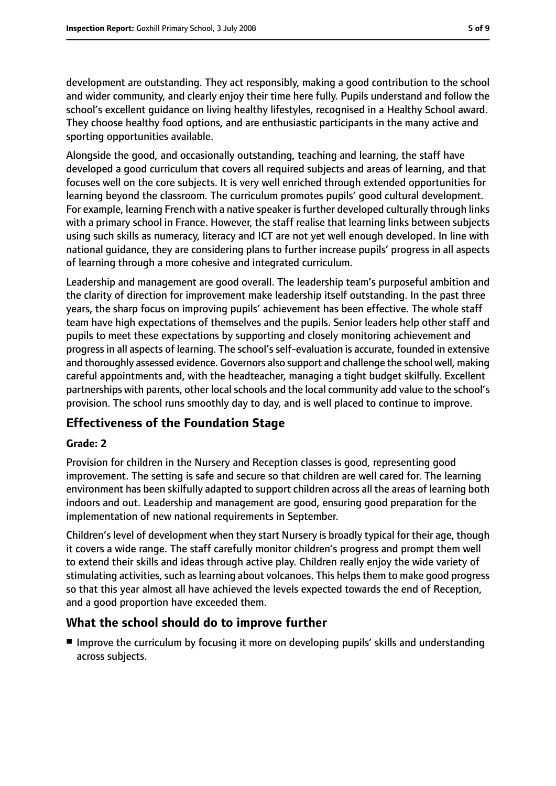development are outstanding. They act responsibly, making a good contribution to the school and wider community, and clearly enjoy their time here fully. Pupils understand and follow the school's excellent guidance on living healthy lifestyles, recognised in a Healthy School award. They choose healthy food options, and are enthusiastic participants in the many active and sporting opportunities available.

Alongside the good, and occasionally outstanding, teaching and learning, the staff have developed a good curriculum that covers all required subjects and areas of learning, and that focuses well on the core subjects. It is very well enriched through extended opportunities for learning beyond the classroom. The curriculum promotes pupils' good cultural development. For example, learning French with a native speaker is further developed culturally through links with a primary school in France. However, the staff realise that learning links between subjects using such skills as numeracy, literacy and ICT are not yet well enough developed. In line with national guidance, they are considering plans to further increase pupils' progress in all aspects of learning through a more cohesive and integrated curriculum.

Leadership and management are good overall. The leadership team's purposeful ambition and the clarity of direction for improvement make leadership itself outstanding. In the past three years, the sharp focus on improving pupils' achievement has been effective. The whole staff team have high expectations of themselves and the pupils. Senior leaders help other staff and pupils to meet these expectations by supporting and closely monitoring achievement and progress in all aspects of learning. The school's self-evaluation is accurate, founded in extensive and thoroughly assessed evidence. Governors also support and challenge the school well, making careful appointments and, with the headteacher, managing a tight budget skilfully. Excellent partnerships with parents, other local schools and the local community add value to the school's provision. The school runs smoothly day to day, and is well placed to continue to improve.

# **Effectiveness of the Foundation Stage**

#### **Grade: 2**

Provision for children in the Nursery and Reception classes is good, representing good improvement. The setting is safe and secure so that children are well cared for. The learning environment has been skilfully adapted to support children across all the areas of learning both indoors and out. Leadership and management are good, ensuring good preparation for the implementation of new national requirements in September.

Children's level of development when they start Nursery is broadly typical for their age, though it covers a wide range. The staff carefully monitor children's progress and prompt them well to extend their skills and ideas through active play. Children really enjoy the wide variety of stimulating activities, such as learning about volcanoes. This helps them to make good progress so that this year almost all have achieved the levels expected towards the end of Reception, and a good proportion have exceeded them.

## **What the school should do to improve further**

■ Improve the curriculum by focusing it more on developing pupils' skills and understanding across subjects.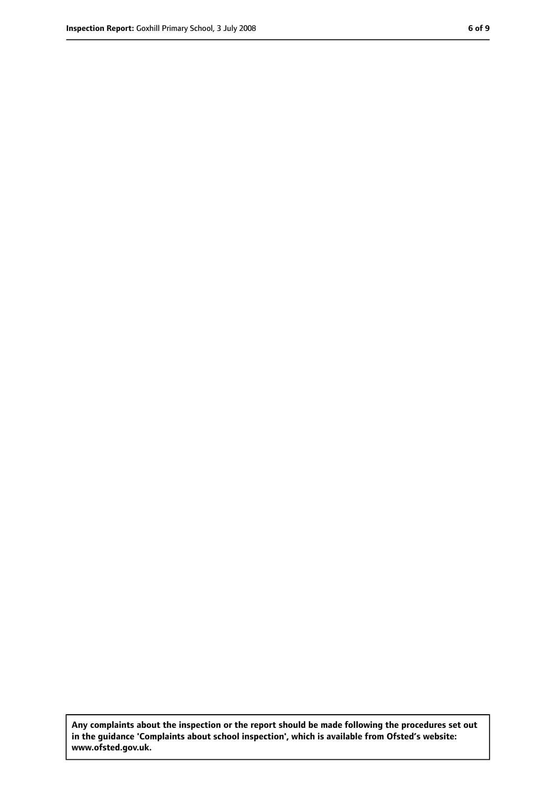**Any complaints about the inspection or the report should be made following the procedures set out in the guidance 'Complaints about school inspection', which is available from Ofsted's website: www.ofsted.gov.uk.**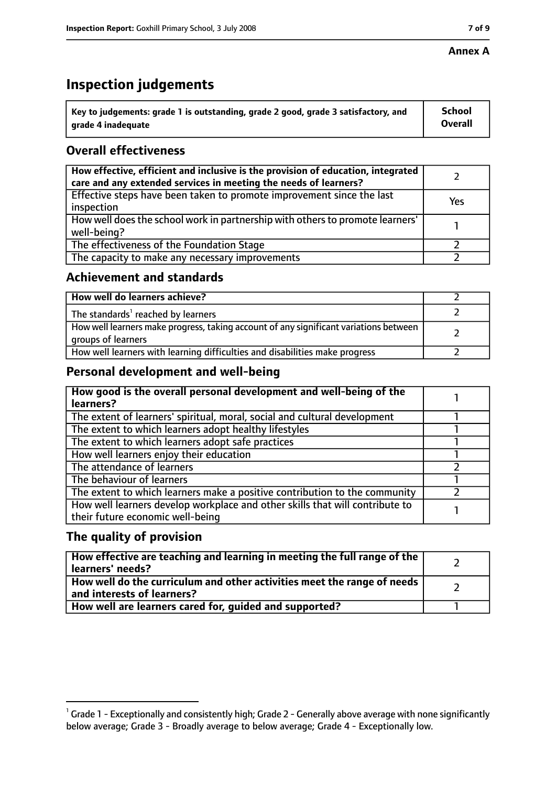#### **Annex A**

# **Inspection judgements**

| $^{\backprime}$ Key to judgements: grade 1 is outstanding, grade 2 good, grade 3 satisfactory, and | <b>School</b>  |
|----------------------------------------------------------------------------------------------------|----------------|
| arade 4 inadequate                                                                                 | <b>Overall</b> |

# **Overall effectiveness**

| How effective, efficient and inclusive is the provision of education, integrated<br>care and any extended services in meeting the needs of learners? |     |
|------------------------------------------------------------------------------------------------------------------------------------------------------|-----|
| Effective steps have been taken to promote improvement since the last<br>inspection                                                                  | Yes |
| How well does the school work in partnership with others to promote learners'<br>well-being?                                                         |     |
| The effectiveness of the Foundation Stage                                                                                                            |     |
| The capacity to make any necessary improvements                                                                                                      |     |

## **Achievement and standards**

| How well do learners achieve?                                                                               |  |
|-------------------------------------------------------------------------------------------------------------|--|
| The standards <sup>1</sup> reached by learners                                                              |  |
| How well learners make progress, taking account of any significant variations between<br>groups of learners |  |
| How well learners with learning difficulties and disabilities make progress                                 |  |

# **Personal development and well-being**

| How good is the overall personal development and well-being of the<br>learners?                                  |  |
|------------------------------------------------------------------------------------------------------------------|--|
| The extent of learners' spiritual, moral, social and cultural development                                        |  |
| The extent to which learners adopt healthy lifestyles                                                            |  |
| The extent to which learners adopt safe practices                                                                |  |
| How well learners enjoy their education                                                                          |  |
| The attendance of learners                                                                                       |  |
| The behaviour of learners                                                                                        |  |
| The extent to which learners make a positive contribution to the community                                       |  |
| How well learners develop workplace and other skills that will contribute to<br>their future economic well-being |  |

# **The quality of provision**

| How effective are teaching and learning in meeting the full range of the<br>learners' needs?          |  |
|-------------------------------------------------------------------------------------------------------|--|
| How well do the curriculum and other activities meet the range of needs<br>and interests of learners? |  |
| How well are learners cared for, quided and supported?                                                |  |

 $^1$  Grade 1 - Exceptionally and consistently high; Grade 2 - Generally above average with none significantly below average; Grade 3 - Broadly average to below average; Grade 4 - Exceptionally low.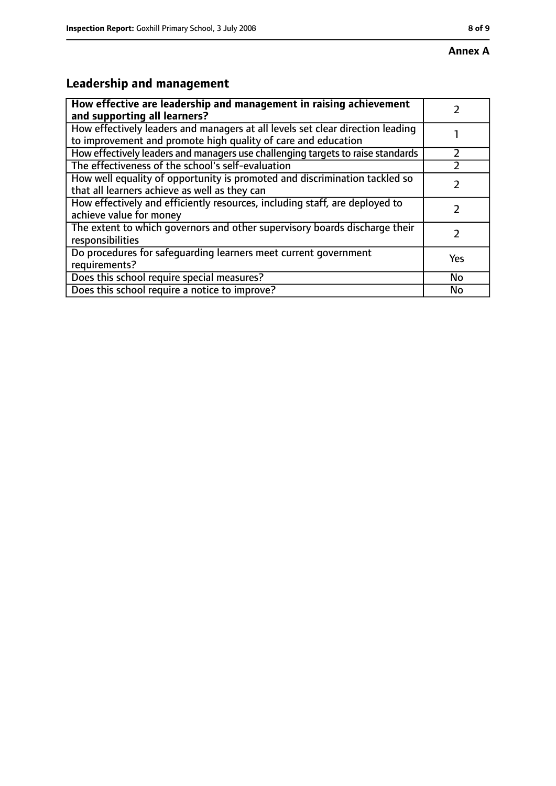# **Leadership and management**

| How effective are leadership and management in raising achievement<br>and supporting all learners?                                              |     |
|-------------------------------------------------------------------------------------------------------------------------------------------------|-----|
| How effectively leaders and managers at all levels set clear direction leading<br>to improvement and promote high quality of care and education |     |
| How effectively leaders and managers use challenging targets to raise standards                                                                 |     |
| The effectiveness of the school's self-evaluation                                                                                               |     |
| How well equality of opportunity is promoted and discrimination tackled so<br>that all learners achieve as well as they can                     |     |
| How effectively and efficiently resources, including staff, are deployed to<br>achieve value for money                                          |     |
| The extent to which governors and other supervisory boards discharge their<br>responsibilities                                                  |     |
| Do procedures for safequarding learners meet current government<br>requirements?                                                                | Yes |
| Does this school require special measures?                                                                                                      | No  |
| Does this school require a notice to improve?                                                                                                   | No  |